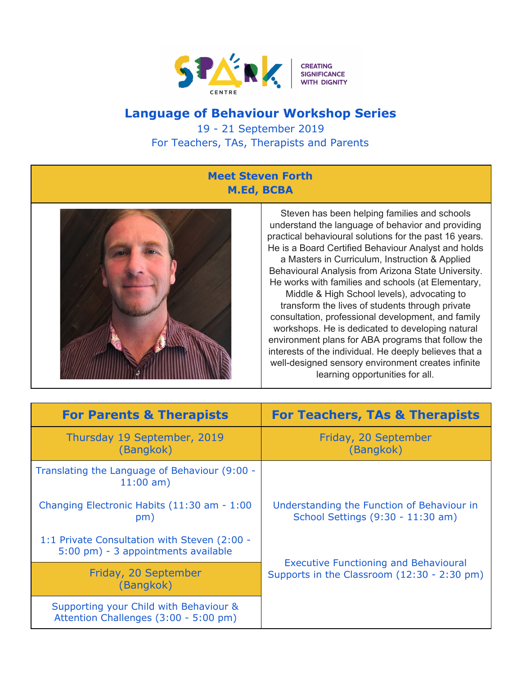

## **Language of Behaviour Workshop Series**

19 - 21 September 2019 For Teachers, TAs, Therapists and Parents

## **Meet Steven Forth M.Ed, BCBA**



Steven has been helping families and schools understand the language of behavior and providing practical behavioural solutions for the past 16 years. He is a Board Certified Behaviour Analyst and holds a Masters in Curriculum, Instruction & Applied Behavioural Analysis from Arizona State University. He works with families and schools (at Elementary, Middle & High School levels), advocating to transform the lives of students through private consultation, professional development, and family workshops. He is dedicated to developing natural environment plans for ABA programs that follow the interests of the individual. He deeply believes that a well-designed sensory environment creates infinite learning opportunities for all.

| <b>For Parents &amp; Therapists</b>                                                 | <b>For Teachers, TAs &amp; Therapists</b>                                                   |
|-------------------------------------------------------------------------------------|---------------------------------------------------------------------------------------------|
| Thursday 19 September, 2019<br>(Bangkok)                                            | Friday, 20 September<br>(Bangkok)                                                           |
| Translating the Language of Behaviour (9:00 -<br>$11:00$ am)                        |                                                                                             |
| Changing Electronic Habits (11:30 am - 1:00<br>pm)                                  | Understanding the Function of Behaviour in<br>School Settings (9:30 - 11:30 am)             |
| 1:1 Private Consultation with Steven (2:00 -<br>5:00 pm) - 3 appointments available |                                                                                             |
| Friday, 20 September<br>(Bangkok)                                                   | <b>Executive Functioning and Behavioural</b><br>Supports in the Classroom (12:30 - 2:30 pm) |
| Supporting your Child with Behaviour &<br>Attention Challenges (3:00 - 5:00 pm)     |                                                                                             |